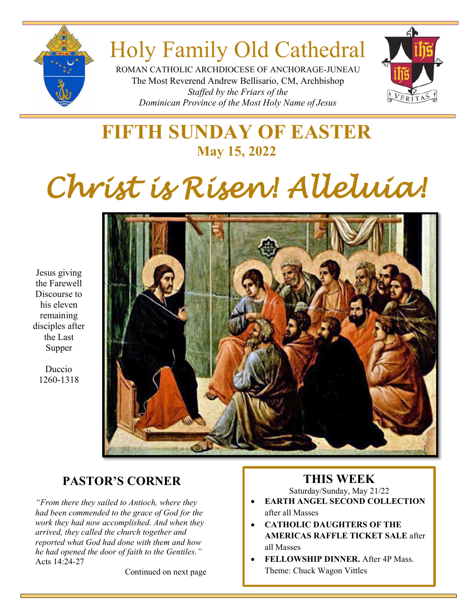

# Holy Family Old Cathedral

ROMAN CATHOLIC ARCHDIOCESE OF ANCHORAGE-JUNEAU The Most Reverend Andrew Bellisario, CM, Archbishop *Staffed by the Friars of the Dominican Province of the Most Holy Name of Jesus*



# **FIFTH SUNDAY OF EASTER May 15, 2022**

# *Christ is Risen! Alleluia!*

Jesus giving the Farewell Discourse to his eleven remaining disciples after the Last Supper

> Duccio 1260-1318



# **PASTOR'S CORNER**

*"From there they sailed to Antioch, where they had been commended to the grace of God for the work they had now accomplished. And when they arrived, they called the church together and reported what God had done with them and how he had opened the door of faith to the Gentiles."* Acts 14:24-27

Continued on next page

# **THIS WEEK**

Saturday/Sunday, May 21/22

- **EARTH ANGEL SECOND COLLECTION** after all Masses
- **CATHOLIC DAUGHTERS OF THE AMERICAS RAFFLE TICKET SALE** after all Masses
- **FELLOWSHIP DINNER.** After 4P Mass. Theme: Chuck Wagon Vittles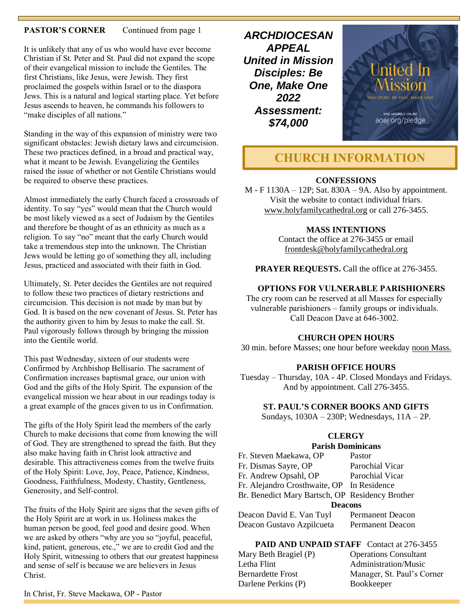#### **PASTOR'S CORNER** Continued from page 1

It is unlikely that any of us who would have ever become Christian if St. Peter and St. Paul did not expand the scope of their evangelical mission to include the Gentiles. The first Christians, like Jesus, were Jewish. They first proclaimed the gospels within Israel or to the diaspora Jews. This is a natural and logical starting place. Yet before Jesus ascends to heaven, he commands his followers to "make disciples of all nations."

Standing in the way of this expansion of ministry were two significant obstacles: Jewish dietary laws and circumcision. These two practices defined, in a broad and practical way, what it meant to be Jewish. Evangelizing the Gentiles raised the issue of whether or not Gentile Christians would be required to observe these practices.

Almost immediately the early Church faced a crossroads of identity. To say "yes" would mean that the Church would be most likely viewed as a sect of Judaism by the Gentiles and therefore be thought of as an ethnicity as much as a religion. To say "no" meant that the early Church would take a tremendous step into the unknown. The Christian Jews would be letting go of something they all, including Jesus, practiced and associated with their faith in God.

Ultimately, St. Peter decides the Gentiles are not required to follow these two practices of dietary restrictions and circumcision. This decision is not made by man but by God. It is based on the new covenant of Jesus. St. Peter has the authority given to him by Jesus to make the call. St. Paul vigorously follows through by bringing the mission into the Gentile world.

This past Wednesday, sixteen of our students were Confirmed by Archbishop Bellisario. The sacrament of Confirmation increases baptismal grace, our union with God and the gifts of the Holy Spirit. The expansion of the evangelical mission we hear about in our readings today is a great example of the graces given to us in Confirmation.

The gifts of the Holy Spirit lead the members of the early Church to make decisions that come from knowing the will of God. They are strengthened to spread the faith. But they also make having faith in Christ look attractive and desirable. This attractiveness comes from the twelve fruits of the Holy Spirit: Love, Joy, Peace, Patience, Kindness, Goodness, Faithfulness, Modesty, Chastity, Gentleness, Generosity, and Self-control.

The fruits of the Holy Spirit are signs that the seven gifts of the Holy Spirit are at work in us. Holiness makes the human person be good, feel good and desire good. When we are asked by others "why are you so "joyful, peaceful, kind, patient, generous, etc.," we are to credit God and the Holy Spirit, witnessing to others that our greatest happiness and sense of self is because we are believers in Jesus Christ.

*ARCHDIOCESAN APPEAL United in Mission Disciples: Be One, Make One 2022 Assessment: \$74,000*



# **CHURCH INFORMATION**

#### **CONFESSIONS**

M - F 1130A – 12P; Sat. 830A – 9A. Also by appointment. Visit the website to contact individual friars. [www.holyfamilycathedral.org](http://www.holyfamilycathedral.org/) or call 276-3455.

#### **MASS INTENTIONS**

Contact the office at 276-3455 or email [frontdesk@holyfamilycathedral.org](mailto:frontdesk@holyfamilycathedral.org)

**PRAYER REQUESTS.** Call the office at 276-3455.

#### **OPTIONS FOR VULNERABLE PARISHIONERS**

The cry room can be reserved at all Masses for especially vulnerable parishioners – family groups or individuals. Call Deacon Dave at 646-3002.

#### **CHURCH OPEN HOURS**

30 min. before Masses; one hour before weekday noon Mass.

#### **PARISH OFFICE HOURS**

Tuesday – Thursday, 10A - 4P. Closed Mondays and Fridays. And by appointment. Call 276-3455.

#### **ST. PAUL'S CORNER BOOKS AND GIFTS**

Sundays, 1030A – 230P; Wednesdays, 11A – 2P.

#### **CLERGY**

#### **Parish Dominicans**

| Fr. Steven Maekawa, OP                          | Pastor                  |  |  |
|-------------------------------------------------|-------------------------|--|--|
| Fr. Dismas Sayre, OP                            | Parochial Vicar         |  |  |
| Fr. Andrew Opsahl, OP                           | Parochial Vicar         |  |  |
| Fr. Alejandro Crosthwaite, OP In Residence      |                         |  |  |
| Br. Benedict Mary Bartsch, OP Residency Brother |                         |  |  |
| <b>Deacons</b>                                  |                         |  |  |
| Deacon David E. Van Tuyl                        | <b>Permanent Deacon</b> |  |  |
|                                                 |                         |  |  |

Deacon Gustavo Azpilcueta Permanent Deacon

**PAID AND UNPAID STAFF** Contact at 276-3455 Mary Beth Bragiel (P) Letha Flint Bernardette Frost

Darlene Perkins (P)

| ?) | <b>Operations Consultant</b> |
|----|------------------------------|
|    | Administration/Music         |
|    | Manager, St. Paul's Corner   |
|    | Bookkeeper                   |
|    |                              |

In Christ, Fr. Steve Maekawa, OP - Pastor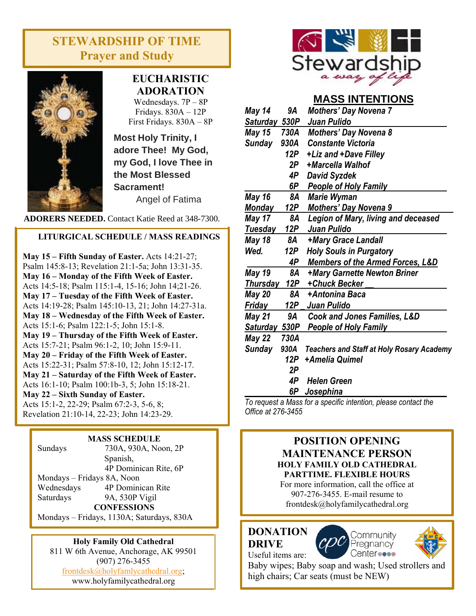# **STEWARDSHIP OF TIME Prayer and Study**



# **EUCHARISTIC ADORATION**

Wednesdays. 7P – 8P Fridays. 830A – 12P First Fridays. 830A – 8P

**Most Holy Trinity, I adore Thee! My God, my God, I love Thee in the Most Blessed Sacrament!**

Angel of Fatima

**ADORERS NEEDED.** Contact Katie Reed at 348-7300.

#### **LITURGICAL SCHEDULE / MASS READINGS**

**May 15 – Fifth Sunday of Easter.** Acts 14:21-27; Psalm 145:8-13; Revelation 21:1-5a; John 13:31-35. **May 16 – Monday of the Fifth Week of Easter.**  Acts 14:5-18; Psalm 115:1-4, 15-16; John 14;21-26. **May 17 – Tuesday of the Fifth Week of Easter.** Acts 14:19-28; Psalm 145:10-13, 21; John 14:27-31a. **May 18 – Wednesday of the Fifth Week of Easter.**  Acts 15:1-6; Psalm 122:1-5; John 15:1-8. **May 19 – Thursday of the Fifth Week of Easter.** Acts 15:7-21; Psalm 96:1-2, 10; John 15:9-11. **May 20 – Friday of the Fifth Week of Easter.** Acts 15:22-31; Psalm 57:8-10, 12; John 15:12-17. **May 21 – Saturday of the Fifth Week of Easter.** Acts 16:1-10; Psalm 100:1b-3, 5; John 15:18-21. **May 22 – Sixth Sunday of Easter.** Acts 15:1-2, 22-29; Psalm 67:2-3, 5-6, 8; Revelation 21:10-14, 22-23; John 14:23-29.

#### **MASS SCHEDULE**

| Sundays                    | 730A, 930A, Noon, 2P  |  |
|----------------------------|-----------------------|--|
|                            | Spanish,              |  |
|                            | 4P Dominican Rite, 6P |  |
| Mondays - Fridays 8A, Noon |                       |  |
| Wednesdays                 | 4P Dominican Rite     |  |
| Saturdays                  | 9A, 530P Vigil        |  |
| <b>CONFESSIONS</b>         |                       |  |
|                            |                       |  |

Mondays – Fridays, 1130A; Saturdays, 830A

#### **Holy Family Old Cathedral**

811 W 6th Avenue, Anchorage, AK 99501 (907) 276-3455 [frontdesk@holyfamlycathedral.org;](mailto:frontdesk@holyfamlycathedral.org) [www.holyfamilycathedral.org](http://www.holyfamilycathedral.org/)



## **MASS INTENTIONS**

| May 14          | 9Α         | <b>Mothers' Day Novena 7</b>                     |
|-----------------|------------|--------------------------------------------------|
| Saturday 530P   |            | Juan Pulido                                      |
| May 15          | 730A       | <b>Mothers' Day Novena 8</b>                     |
| Sunday          | 930A       | <b>Constante Victoria</b>                        |
|                 | 12P        | +Liz and +Dave Filley                            |
|                 | 2P         | +Marcella Walhof                                 |
|                 | 4P         | <b>David Syzdek</b>                              |
|                 | 6P         | <b>People of Holy Family</b>                     |
| May 16          | 8A         | <b>Marie Wyman</b>                               |
| <b>Monday</b>   | 12P        | <b>Mothers' Day Novena 9</b>                     |
| <b>May 17</b>   | 8Α         | <b>Legion of Mary, living and deceased</b>       |
| Tuesday         | <u>12P</u> | Juan Pulido                                      |
| May 18          | 8A         | +Mary Grace Landall                              |
| Wed.            | 12P        | <b>Holy Souls in Purgatory</b>                   |
|                 | 4P         | <b>Members of the Armed Forces, L&amp;D</b>      |
| <b>May 19</b>   | 8A         | +Mary Garnette Newton Briner                     |
| <b>Thursday</b> | 12P        | +Chuck Becker                                    |
| May 20          | 8A         | +Antonina Baca                                   |
| Friday          | 12P $\_$   | Juan Pulido                                      |
| May 21          | 9Α         | <b>Cook and Jones Families, L&amp;D</b>          |
| Saturday 530P   |            | <b>People of Holy Family</b>                     |
| May 22          | 730A       |                                                  |
| <b>Sunday</b>   | 930A       | <b>Teachers and Staff at Holy Rosary Academy</b> |
|                 | 12P        | +Amelia Quimel                                   |
|                 | 2P         |                                                  |
|                 | 4P         | <b>Helen Green</b>                               |
|                 | 6P         | <u>Josephi</u> na                                |

*To request a Mass for a specific intention, please contact the Office at 276-3455*

#### **POSITION OPENING MAINTENANCE PERSON HOLY FAMILY OLD CATHEDRAL PARTTIME. FLEXIBLE HOURS**

For more information, call the office at 907-276-3455. E-mail resume to frontdesk@holyfamilycathedral.org

#### **DONATION DRIVE** Useful items are:





Baby wipes; Baby soap and wash; Used strollers and high chairs; Car seats (must be NEW)